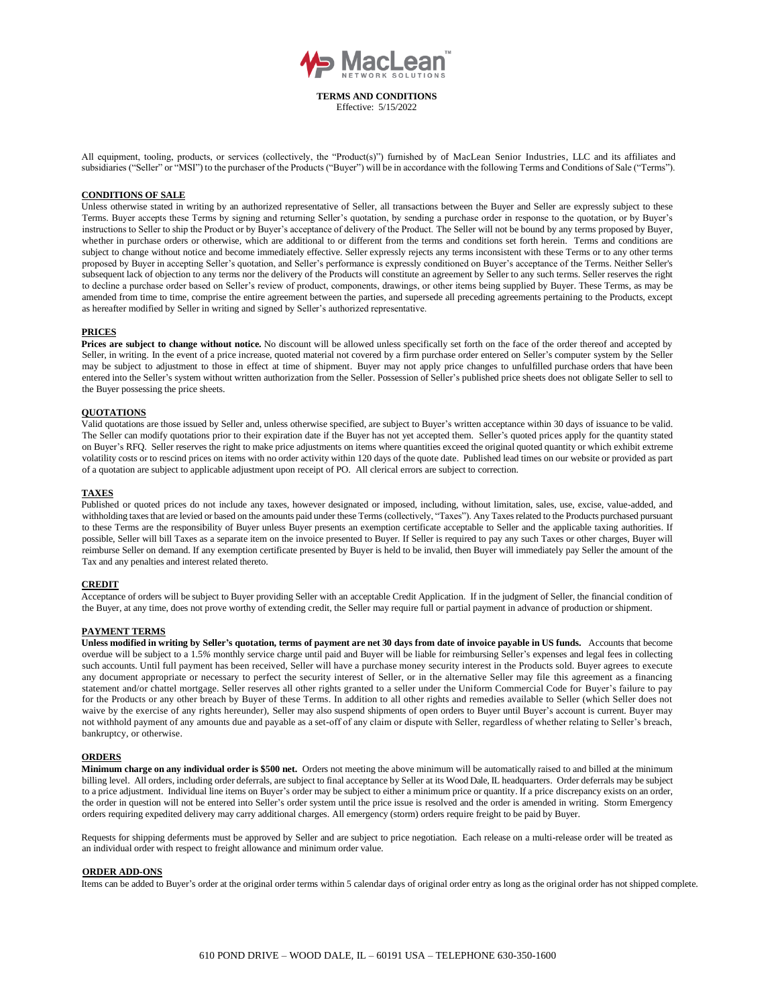

**TERMS AND CONDITIONS** Effective: 5/15/2022

All equipment, tooling, products, or services (collectively, the "Product(s)") furnished by of MacLean Senior Industries, LLC and its affiliates and subsidiaries ("Seller" or "MSI") to the purchaser of the Products ("Buyer") will be in accordance with the following Terms and Conditions of Sale ("Terms").

### **CONDITIONS OF SALE**

Unless otherwise stated in writing by an authorized representative of Seller, all transactions between the Buyer and Seller are expressly subject to these Terms. Buyer accepts these Terms by signing and returning Seller's quotation, by sending a purchase order in response to the quotation, or by Buyer's instructions to Seller to ship the Product or by Buyer's acceptance of delivery of the Product. The Seller will not be bound by any terms proposed by Buyer, whether in purchase orders or otherwise, which are additional to or different from the terms and conditions set forth herein. Terms and conditions are subject to change without notice and become immediately effective. Seller expressly rejects any terms inconsistent with these Terms or to any other terms proposed by Buyer in accepting Seller's quotation, and Seller's performance is expressly conditioned on Buyer's acceptance of the Terms. Neither Seller's subsequent lack of objection to any terms nor the delivery of the Products will constitute an agreement by Seller to any such terms. Seller reserves the right to decline a purchase order based on Seller's review of product, components, drawings, or other items being supplied by Buyer. These Terms, as may be amended from time to time, comprise the entire agreement between the parties, and supersede all preceding agreements pertaining to the Products, except as hereafter modified by Seller in writing and signed by Seller's authorized representative.

#### **PRICES**

**Prices are subject to change without notice.** No discount will be allowed unless specifically set forth on the face of the order thereof and accepted by Seller, in writing. In the event of a price increase, quoted material not covered by a firm purchase order entered on Seller's computer system by the Seller may be subject to adjustment to those in effect at time of shipment. Buyer may not apply price changes to unfulfilled purchase orders that have been entered into the Seller's system without written authorization from the Seller. Possession of Seller's published price sheets does not obligate Seller to sell to the Buyer possessing the price sheets.

# **QUOTATIONS**

Valid quotations are those issued by Seller and, unless otherwise specified, are subject to Buyer's written acceptance within 30 days of issuance to be valid. The Seller can modify quotations prior to their expiration date if the Buyer has not yet accepted them. Seller's quoted prices apply for the quantity stated on Buyer's RFQ. Seller reserves the right to make price adjustments on items where quantities exceed the original quoted quantity or which exhibit extreme volatility costs or to rescind prices on items with no order activity within 120 days of the quote date. Published lead times on our website or provided as part of a quotation are subject to applicable adjustment upon receipt of PO. All clerical errors are subject to correction.

#### **TAXES**

Published or quoted prices do not include any taxes, however designated or imposed, including, without limitation, sales, use, excise, value-added, and withholding taxes that are levied or based on the amounts paid under these Terms (collectively, "Taxes"). Any Taxes related to the Products purchased pursuant to these Terms are the responsibility of Buyer unless Buyer presents an exemption certificate acceptable to Seller and the applicable taxing authorities. If possible, Seller will bill Taxes as a separate item on the invoice presented to Buyer. If Seller is required to pay any such Taxes or other charges, Buyer will reimburse Seller on demand. If any exemption certificate presented by Buyer is held to be invalid, then Buyer will immediately pay Seller the amount of the Tax and any penalties and interest related thereto.

### **CREDIT**

Acceptance of orders will be subject to Buyer providing Seller with an acceptable Credit Application. If in the judgment of Seller, the financial condition of the Buyer, at any time, does not prove worthy of extending credit, the Seller may require full or partial payment in advance of production or shipment.

#### **PAYMENT TERMS**

Unless modified in writing by Seller's quotation, terms of payment are net 30 days from date of invoice payable in US funds. Accounts that become overdue will be subject to a 1.5*%* monthly service charge until paid and Buyer will be liable for reimbursing Seller's expenses and legal fees in collecting such accounts. Until full payment has been received, Seller will have a purchase money security interest in the Products sold. Buyer agrees to execute any document appropriate or necessary to perfect the security interest of Seller, or in the alternative Seller may file this agreement as a financing statement and/or chattel mortgage. Seller reserves all other rights granted to a seller under the Uniform Commercial Code for Buyer's failure to pay for the Products or any other breach by Buyer of these Terms. In addition to all other rights and remedies available to Seller (which Seller does not waive by the exercise of any rights hereunder), Seller may also suspend shipments of open orders to Buyer until Buyer's account is current. Buyer may not withhold payment of any amounts due and payable as a set-off of any claim or dispute with Seller, regardless of whether relating to Seller's breach, bankruptcy, or otherwise.

#### **ORDERS**

**Minimum charge on any individual order is \$500 net.** Orders not meeting the above minimum will be automatically raised to and billed at the minimum billing level. All orders, including order deferrals, are subject to final acceptance by Seller at its Wood Dale, IL headquarters. Order deferrals may be subject to a price adjustment. Individual line items on Buyer's order may be subject to either a minimum price or quantity. If a price discrepancy exists on an order, the order in question will not be entered into Seller's order system until the price issue is resolved and the order is amended in writing. Storm Emergency orders requiring expedited delivery may carry additional charges. All emergency (storm) orders require freight to be paid by Buyer.

Requests for shipping deferments must be approved by Seller and are subject to price negotiation. Each release on a multi-release order will be treated as an individual order with respect to freight allowance and minimum order value.

### **ORDER ADD-ONS**

Items can be added to Buyer's order at the original order terms within 5 calendar days of original order entry as long as the original order has not shipped complete.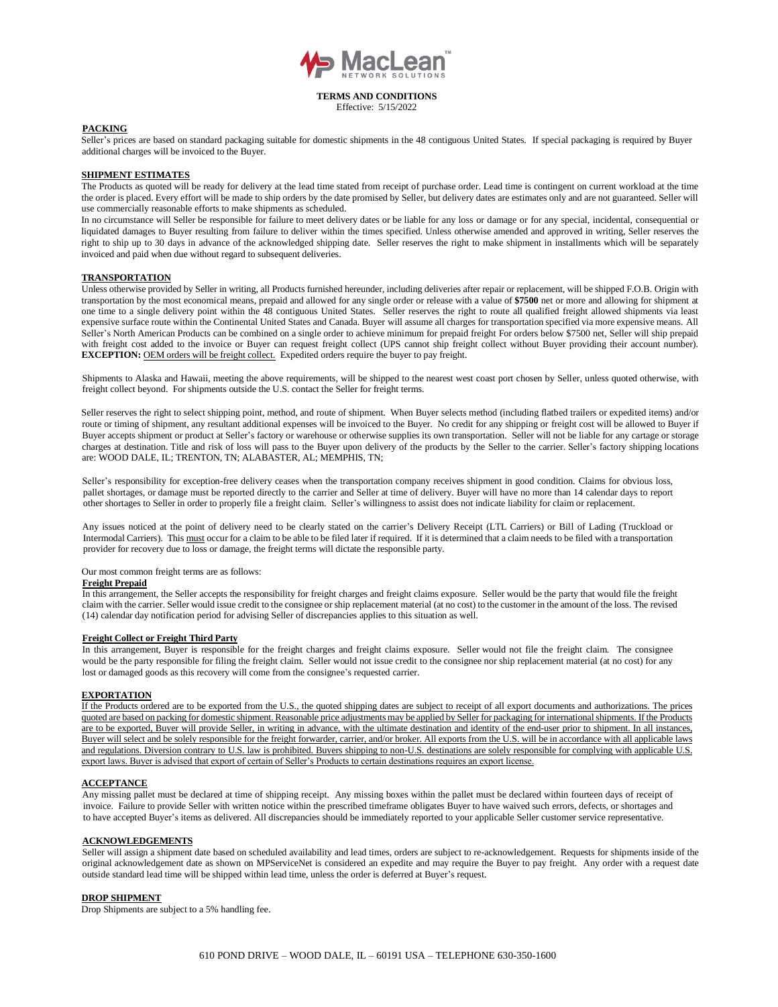

Effective: 5/15/2022

### **PACKING**

Seller's prices are based on standard packaging suitable for domestic shipments in the 48 contiguous United States. If special packaging is required by Buyer additional charges will be invoiced to the Buyer.

## **SHIPMENT ESTIMATES**

The Products as quoted will be ready for delivery at the lead time stated from receipt of purchase order. Lead time is contingent on current workload at the time the order is placed. Every effort will be made to ship orders by the date promised by Seller, but delivery dates are estimates only and are not guaranteed. Seller will use commercially reasonable efforts to make shipments as scheduled.

In no circumstance will Seller be responsible for failure to meet delivery dates or be liable for any loss or damage or for any special, incidental, consequential or liquidated damages to Buyer resulting from failure to deliver within the times specified. Unless otherwise amended and approved in writing, Seller reserves the right to ship up to 30 days in advance of the acknowledged shipping date. Seller reserves the right to make shipment in installments which will be separately invoiced and paid when due without regard to subsequent deliveries.

#### **TRANSPORTATION**

Unless otherwise provided by Seller in writing, all Products furnished hereunder, including deliveries after repair or replacement, will be shipped F.O.B. Origin with transportation by the most economical means, prepaid and allowed for any single order or release with a value of **\$7500** net or more and allowing for shipment at one time to a single delivery point within the 48 contiguous United States. Seller reserves the right to route all qualified freight allowed shipments via least expensive surface route within the Continental United States and Canada. Buyer will assume all charges for transportation specified via more expensive means. All Seller's North American Products can be combined on a single order to achieve minimum for prepaid freight For orders below \$7500 net, Seller will ship prepaid with freight cost added to the invoice or Buyer can request freight collect (UPS cannot ship freight collect without Buyer providing their account number). **EXCEPTION:** OEM orders will be freight collect. Expedited orders require the buyer to pay freight.

Shipments to Alaska and Hawaii, meeting the above requirements, will be shipped to the nearest west coast port chosen by Seller, unless quoted otherwise, with freight collect beyond. For shipments outside the U.S. contact the Seller for freight terms.

Seller reserves the right to select shipping point, method, and route of shipment. When Buyer selects method (including flatbed trailers or expedited items) and/or route or timing of shipment, any resultant additional expenses will be invoiced to the Buyer. No credit for any shipping or freight cost will be allowed to Buyer if Buyer accepts shipment or product at Seller's factory or warehouse or otherwise supplies its own transportation. Seller will not be liable for any cartage or storage charges at destination. Title and risk of loss will pass to the Buyer upon delivery of the products by the Seller to the carrier. Seller's factory shipping locations are: WOOD DALE, IL; TRENTON, TN; ALABASTER, AL; MEMPHIS, TN;

Seller's responsibility for exception-free delivery ceases when the transportation company receives shipment in good condition. Claims for obvious loss, pallet shortages, or damage must be reported directly to the carrier and Seller at time of delivery. Buyer will have no more than 14 calendar days to report other shortages to Seller in order to properly file a freight claim. Seller's willingness to assist does not indicate liability for claim or replacement.

Any issues noticed at the point of delivery need to be clearly stated on the carrier's Delivery Receipt (LTL Carriers) or Bill of Lading (Truckload or Intermodal Carriers). This must occur for a claim to be able to be filed later if required. If it is determined that a claim needs to be filed with a transportation provider for recovery due to loss or damage, the freight terms will dictate the responsible party.

#### Our most common freight terms are as follows:

#### **Freight Prepaid**

In this arrangement, the Seller accepts the responsibility for freight charges and freight claims exposure. Seller would be the party that would file the freight claim with the carrier. Seller would issue credit to the consignee orship replacement material (at no cost) to the customer in the amount of the loss. The revised (14) calendar day notification period for advising Seller of discrepancies applies to this situation as well.

#### **Freight Collect or Freight Third Party**

In this arrangement, Buyer is responsible for the freight charges and freight claims exposure. Seller would not file the freight claim. The consignee would be the party responsible for filing the freight claim. Seller would not issue credit to the consignee nor ship replacement material (at no cost) for any lost or damaged goods as this recovery will come from the consignee's requested carrier.

#### **EXPORTATION**

If the Products ordered are to be exported from the U.S., the quoted shipping dates are subject to receipt of all export documents and authorizations. The prices quoted are based on packing for domestic shipment. Reasonable price adjustments may be applied by Seller for packaging for international shipments. If the Products are to be exported, Buyer will provide Seller, in writing in advance, with the ultimate destination and identity of the end-user prior to shipment. In all instances, Buyer will select and be solely responsible for the freight forwarder, carrier, and/or broker. All exports from the U.S. will be in accordance with all applicable laws and regulations. Diversion contrary to U.S. law is prohibited. Buyers shipping to non-U.S. destinations are solely responsible for complying with applicable U.S. export laws. Buyer is advised that export of certain of Seller's Products to certain destinations requires an export license.

### **ACCEPTANCE**

Any missing pallet must be declared at time of shipping receipt. Any missing boxes within the pallet must be declared within fourteen days of receipt of invoice. Failure to provide Seller with written notice within the prescribed timeframe obligates Buyer to have waived such errors, defects, or shortages and to have accepted Buyer's items as delivered. All discrepancies should be immediately reported to your applicable Seller customer service representative.

#### **ACKNOWLEDGEMENTS**

Seller will assign a shipment date based on scheduled availability and lead times, orders are subject to re-acknowledgement. Requests for shipments inside of the original acknowledgement date as shown on MPServiceNet is considered an expedite and may require the Buyer to pay freight. Any order with a request date outside standard lead time will be shipped within lead time, unless the order is deferred at Buyer's request.

# **DROP SHIPMENT**

Drop Shipments are subject to a 5% handling fee.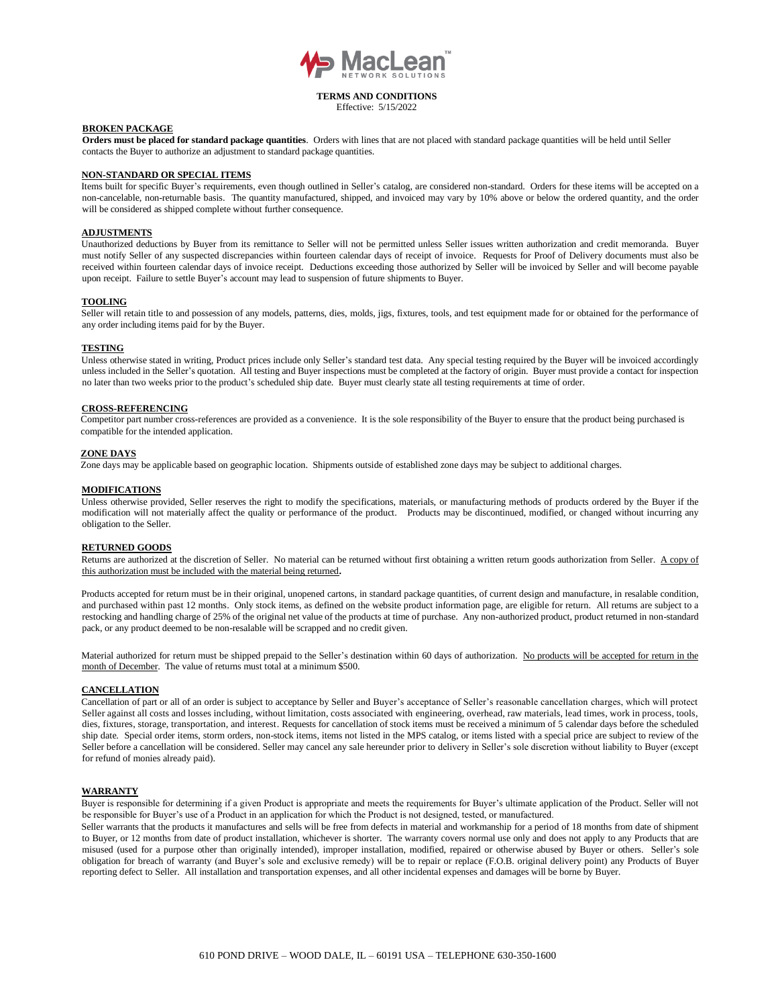

Effective: 5/15/2022

#### **BROKEN PACKAGE**

**Orders must be placed for standard package quantities**. Orders with lines that are not placed with standard package quantities will be held until Seller contacts the Buyer to authorize an adjustment to standard package quantities.

## **NON-STANDARD OR SPECIAL ITEMS**

Items built for specific Buyer's requirements, even though outlined in Seller's catalog, are considered non-standard. Orders for these items will be accepted on a non-cancelable, non-returnable basis. The quantity manufactured, shipped, and invoiced may vary by 10% above or below the ordered quantity, and the order will be considered as shipped complete without further consequence.

### **ADJUSTMENTS**

Unauthorized deductions by Buyer from its remittance to Seller will not be permitted unless Seller issues written authorization and credit memoranda. Buyer must notify Seller of any suspected discrepancies within fourteen calendar days of receipt of invoice. Requests for Proof of Delivery documents must also be received within fourteen calendar days of invoice receipt. Deductions exceeding those authorized by Seller will be invoiced by Seller and will become payable upon receipt. Failure to settle Buyer's account may lead to suspension of future shipments to Buyer.

#### **TOOLING**

Seller will retain title to and possession of any models, patterns, dies, molds, jigs, fixtures, tools, and test equipment made for or obtained for the performance of any order including items paid for by the Buyer.

#### **TESTING**

Unless otherwise stated in writing, Product prices include only Seller's standard test data. Any special testing required by the Buyer will be invoiced accordingly unless included in the Seller's quotation. All testing and Buyer inspections must be completed at the factory of origin. Buyer must provide a contact for inspection no later than two weeks prior to the product's scheduled ship date. Buyer must clearly state all testing requirements at time of order.

#### **CROSS-REFERENCING**

Competitor part number cross-references are provided as a convenience. It is the sole responsibility of the Buyer to ensure that the product being purchased is compatible for the intended application.

### **ZONE DAYS**

Zone days may be applicable based on geographic location. Shipments outside of established zone days may be subject to additional charges.

#### **MODIFICATIONS**

Unless otherwise provided, Seller reserves the right to modify the specifications, materials, or manufacturing methods of products ordered by the Buyer if the modification will not materially affect the quality or performance of the product. Products may be discontinued, modified, or changed without incurring any obligation to the Seller.

#### **RETURNED GOODS**

Returns are authorized at the discretion of Seller. No material can be returned without first obtaining a written return goods authorization from Seller. A copy of this authorization must be included with the material being returned**.**

Products accepted for return must be in their original, unopened cartons, in standard package quantities, of current design and manufacture, in resalable condition, and purchased within past 12 months. Only stock items, as defined on the website product information page, are eligible for return. All returns are subject to a restocking and handling charge of 25% of the original net value of the products at time of purchase. Any non-authorized product, product returned in non-standard pack, or any product deemed to be non-resalable will be scrapped and no credit given.

Material authorized for return must be shipped prepaid to the Seller's destination within 60 days of authorization. No products will be accepted for return in the month of December. The value of returns must total at a minimum \$500.

### **CANCELLATION**

Cancellation of part or all of an order is subject to acceptance by Seller and Buyer's acceptance of Seller's reasonable cancellation charges, which will protect Seller against all costs and losses including, without limitation, costs associated with engineering, overhead, raw materials, lead times, work in process, tools, dies, fixtures, storage, transportation, and interest. Requests for cancellation of stock items must be received a minimum of 5 calendar days before the scheduled ship date. Special order items, storm orders, non-stock items, items not listed in the MPS catalog, or items listed with a special price are subject to review of the Seller before a cancellation will be considered. Seller may cancel any sale hereunder prior to delivery in Seller's sole discretion without liability to Buyer (except for refund of monies already paid).

## **WARRANTY**

Buyer is responsible for determining if a given Product is appropriate and meets the requirements for Buyer's ultimate application of the Product. Seller will not be responsible for Buyer's use of a Product in an application for which the Product is not designed, tested, or manufactured.

Seller warrants that the products it manufactures and sells will be free from defects in material and workmanship for a period of 18 months from date of shipment to Buyer, or 12 months from date of product installation, whichever is shorter. The warranty covers normal use only and does not apply to any Products that are misused (used for a purpose other than originally intended), improper installation, modified, repaired or otherwise abused by Buyer or others. Seller's sole obligation for breach of warranty (and Buyer's sole and exclusive remedy) will be to repair or replace (F.O.B. original delivery point) any Products of Buyer reporting defect to Seller. All installation and transportation expenses, and all other incidental expenses and damages will be borne by Buyer.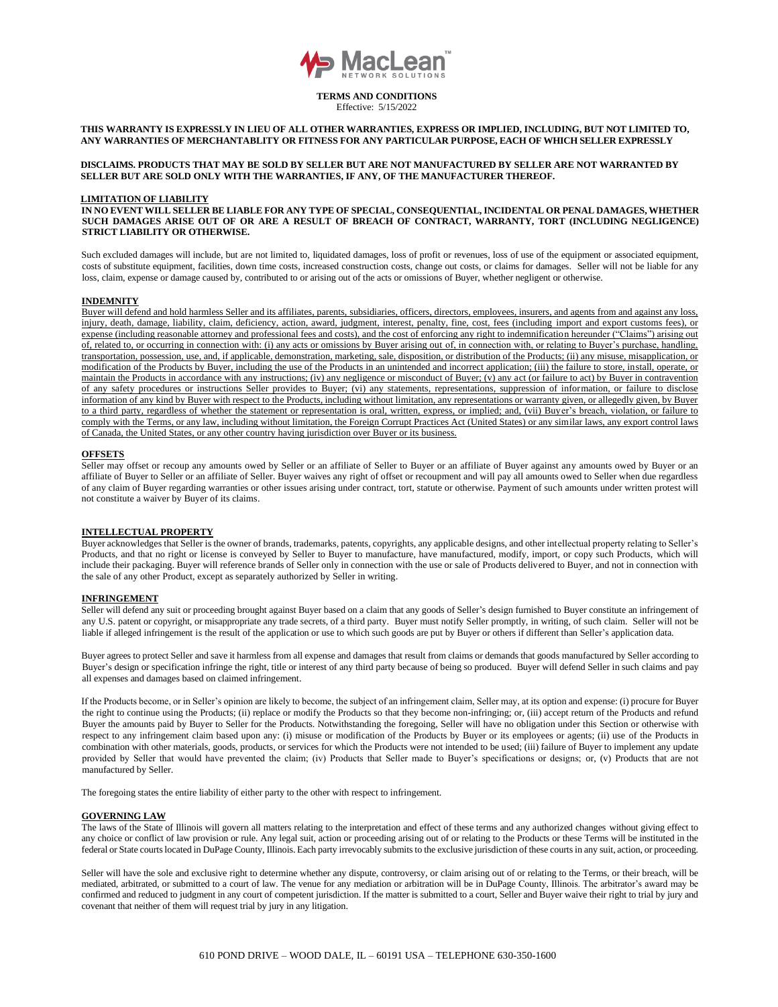

Effective: 5/15/2022

# **THIS WARRANTY IS EXPRESSLY IN LIEU OF ALL OTHER WARRANTIES, EXPRESS OR IMPLIED, INCLUDING, BUT NOT LIMITED TO, ANY WARRANTIES OF MERCHANTABLITY OR FITNESS FOR ANY PARTICULAR PURPOSE, EACH OF WHICH SELLER EXPRESSLY**

### **DISCLAIMS. PRODUCTS THAT MAY BE SOLD BY SELLER BUT ARE NOT MANUFACTURED BY SELLER ARE NOT WARRANTED BY SELLER BUT ARE SOLD ONLY WITH THE WARRANTIES, IF ANY, OF THE MANUFACTURER THEREOF.**

#### **LIMITATION OF LIABILITY**

**IN NO EVENT WILL SELLER BE LIABLE FOR ANY TYPE OF SPECIAL, CONSEQUENTIAL, INCIDENTAL OR PENAL DAMAGES, WHETHER SUCH DAMAGES ARISE OUT OF OR ARE A RESULT OF BREACH OF CONTRACT, WARRANTY, TORT (INCLUDING NEGLIGENCE) STRICT LIABILITY OR OTHERWISE.**

Such excluded damages will include, but are not limited to, liquidated damages, loss of profit or revenues, loss of use of the equipment or associated equipment, costs of substitute equipment, facilities, down time costs, increased construction costs, change out costs, or claims for damages. Seller will not be liable for any loss, claim, expense or damage caused by, contributed to or arising out of the acts or omissions of Buyer, whether negligent or otherwise.

### **INDEMNITY**

Buyer will defend and hold harmless Seller and its affiliates, parents, subsidiaries, officers, directors, employees, insurers, and agents from and against any loss, injury, death, damage, liability, claim, deficiency, action, award, judgment, interest, penalty, fine, cost, fees (including import and export customs fees), or expense (including reasonable attorney and professional fees and costs), and the cost of enforcing any right to indemnification hereunder ("Claims") arising out of, related to, or occurring in connection with: (i) any acts or omissions by Buyer arising out of, in connection with, or relating to Buyer's purchase, handling, transportation, possession, use, and, if applicable, demonstration, marketing, sale, disposition, or distribution of the Products; (ii) any misuse, misapplication, or modification of the Products by Buyer, including the use of the Products in an unintended and incorrect application; (iii) the failure to store, install, operate, or maintain the Products in accordance with any instructions; (iv) any negligence or misconduct of Buyer; (v) any act (or failure to act) by Buyer in contravention of any safety procedures or instructions Seller provides to Buyer; (vi) any statements, representations, suppression of information, or failure to disclose information of any kind by Buyer with respect to the Products, including without limitation, any representations or warranty given, or allegedly given, by Buyer to a third party, regardless of whether the statement or representation is oral, written, express, or implied; and, (vii) Buyer's breach, violation, or failure to comply with the Terms, or any law, including without limitation, the Foreign Corrupt Practices Act (United States) or any similar laws, any export control laws of Canada, the United States, or any other country having jurisdiction over Buyer or its business.

#### **OFFSETS**

Seller may offset or recoup any amounts owed by Seller or an affiliate of Seller to Buyer or an affiliate of Buyer against any amounts owed by Buyer or an affiliate of Buyer to Seller or an affiliate of Seller. Buyer waives any right of offset or recoupment and will pay all amounts owed to Seller when due regardless of any claim of Buyer regarding warranties or other issues arising under contract, tort, statute or otherwise. Payment of such amounts under written protest will not constitute a waiver by Buyer of its claims.

## **INTELLECTUAL PROPERTY**

Buyer acknowledges that Seller is the owner of brands, trademarks, patents, copyrights, any applicable designs, and other intellectual property relating to Seller's Products, and that no right or license is conveyed by Seller to Buyer to manufacture, have manufactured, modify, import, or copy such Products, which will include their packaging. Buyer will reference brands of Seller only in connection with the use or sale of Products delivered to Buyer, and not in connection with the sale of any other Product, except as separately authorized by Seller in writing.

## **INFRINGEMENT**

Seller will defend any suit or proceeding brought against Buyer based on a claim that any goods of Seller's design furnished to Buyer constitute an infringement of any U.S. patent or copyright, or misappropriate any trade secrets, of a third party. Buyer must notify Seller promptly, in writing, of such claim. Seller will not be liable if alleged infringement is the result of the application or use to which such goods are put by Buyer or others if different than Seller's application data.

Buyer agrees to protect Seller and save it harmless from all expense and damages that result from claims or demands that goods manufactured by Seller according to Buyer's design or specification infringe the right, title or interest of any third party because of being so produced. Buyer will defend Seller in such claims and pay all expenses and damages based on claimed infringement.

If the Products become, or in Seller's opinion are likely to become, the subject of an infringement claim, Seller may, at its option and expense: (i) procure for Buyer the right to continue using the Products; (ii) replace or modify the Products so that they become non-infringing; or, (iii) accept return of the Products and refund Buyer the amounts paid by Buyer to Seller for the Products. Notwithstanding the foregoing, Seller will have no obligation under this Section or otherwise with respect to any infringement claim based upon any: (i) misuse or modification of the Products by Buyer or its employees or agents; (ii) use of the Products in combination with other materials, goods, products, or services for which the Products were not intended to be used; (iii) failure of Buyer to implement any update provided by Seller that would have prevented the claim; (iv) Products that Seller made to Buyer's specifications or designs; or, (v) Products that are not manufactured by Seller.

The foregoing states the entire liability of either party to the other with respect to infringement.

## **GOVERNING LAW**

The laws of the State of Illinois will govern all matters relating to the interpretation and effect of these terms and any authorized changes without giving effect to any choice or conflict of law provision or rule. Any legal suit, action or proceeding arising out of or relating to the Products or these Terms will be instituted in the federal or State courts located in DuPage County, Illinois. Each party irrevocably submits to the exclusive jurisdiction of these courts in any suit, action, or proceeding.

Seller will have the sole and exclusive right to determine whether any dispute, controversy, or claim arising out of or relating to the Terms, or their breach, will be mediated, arbitrated, or submitted to a court of law. The venue for any mediation or arbitration will be in DuPage County, Illinois. The arbitrator's award may be confirmed and reduced to judgment in any court of competent jurisdiction. If the matter is submitted to a court, Seller and Buyer waive their right to trial by jury and covenant that neither of them will request trial by jury in any litigation.